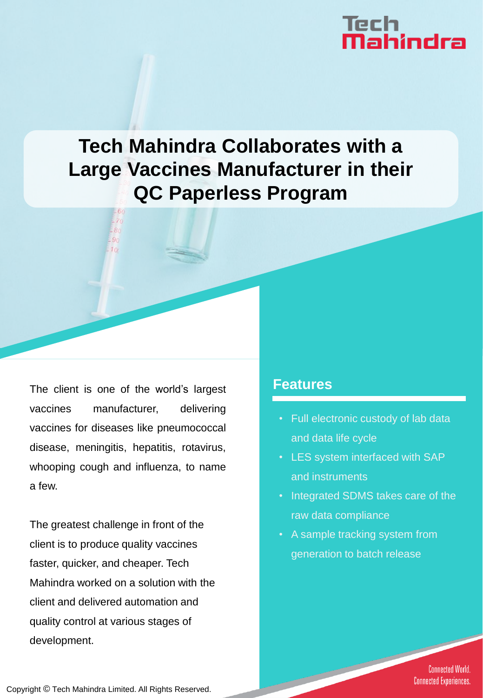# Tech<br>**Mahindra**

## **Tech Mahindra Collaborates with a Large Vaccines Manufacturer in their QC Paperless Program**

The client is one of the world's largest vaccines manufacturer, delivering vaccines for diseases like pneumococcal disease, meningitis, hepatitis, rotavirus, whooping cough and influenza, to name a few.

The greatest challenge in front of the client is to produce quality vaccines faster, quicker, and cheaper. Tech Mahindra worked on a solution with the client and delivered automation and quality control at various stages of development.

#### **Features**

- Full electronic custody of lab data and data life cycle
- LES system interfaced with SAP and instruments
- Integrated SDMS takes care of the raw data compliance
- A sample tracking system from generation to batch release

**Connected World. Connected Experiences.** 

Copyright © Tech Mahindra Limited. All Rights Reserved.